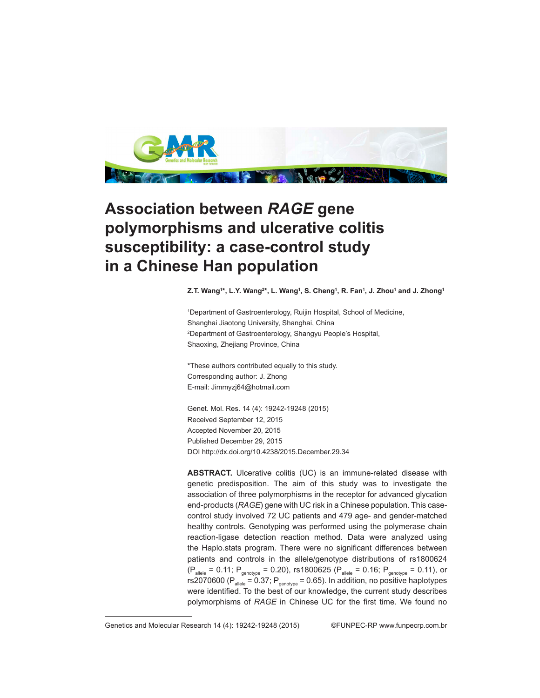

## **Association between** *RAGE* **gene polymorphisms and ulcerative colitis susceptibility: a case-control study in a Chinese Han population**

**Z.T. Wang1 \*, L.Y. Wang2 \*, L. Wang1 , S. Cheng1 , R. Fan1 , J. Zhou1 and J. Zhong1**

1 Department of Gastroenterology, Ruijin Hospital, School of Medicine, Shanghai Jiaotong University, Shanghai, China 2 Department of Gastroenterology, Shangyu People's Hospital, Shaoxing, Zhejiang Province, China

\*These authors contributed equally to this study. Corresponding author: J. Zhong E-mail: Jimmyzj64@hotmail.com

Genet. Mol. Res. 14 (4): 19242-19248 (2015) Received September 12, 2015 Accepted November 20, 2015 Published December 29, 2015 DOI http://dx.doi.org/10.4238/2015.December.29.34

**ABSTRACT.** Ulcerative colitis (UC) is an immune-related disease with genetic predisposition. The aim of this study was to investigate the association of three polymorphisms in the receptor for advanced glycation end-products (*RAGE*) gene with UC risk in a Chinese population. This casecontrol study involved 72 UC patients and 479 age- and gender-matched healthy controls. Genotyping was performed using the polymerase chain reaction-ligase detection reaction method. Data were analyzed using the Haplo.stats program. There were no significant differences between patients and controls in the allele/genotype distributions of rs1800624  $(P_{\text{allele}} = 0.11; P_{\text{genotype}} = 0.20)$ , rs1800625 ( $P_{\text{allele}} = 0.16; P_{\text{genotype}} = 0.11)$ , or rs2070600 ( $P_{\text{allele}} = 0.37$ ;  $P_{\text{genotype}} = 0.65$ ). In addition, no positive haplotypes were identified. To the best of our knowledge, the current study describes polymorphisms of *RAGE* in Chinese UC for the first time. We found no

Genetics and Molecular Research 14 (4): 19242-19248 (2015) ©FUNPEC-RP www.funpecrp.com.br